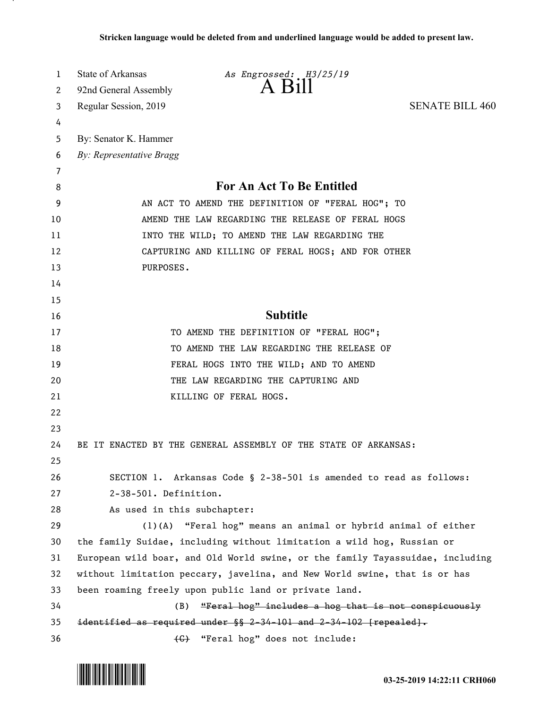| 1  | State of Arkansas                                                             | As Engrossed: H3/25/19                                                 |                        |
|----|-------------------------------------------------------------------------------|------------------------------------------------------------------------|------------------------|
| 2  | 92nd General Assembly                                                         | A Bill                                                                 |                        |
| 3  | Regular Session, 2019                                                         |                                                                        | <b>SENATE BILL 460</b> |
| 4  |                                                                               |                                                                        |                        |
| 5  | By: Senator K. Hammer                                                         |                                                                        |                        |
| 6  | By: Representative Bragg                                                      |                                                                        |                        |
| 7  |                                                                               |                                                                        |                        |
| 8  | <b>For An Act To Be Entitled</b>                                              |                                                                        |                        |
| 9  | AN ACT TO AMEND THE DEFINITION OF "FERAL HOG"; TO                             |                                                                        |                        |
| 10 | AMEND THE LAW REGARDING THE RELEASE OF FERAL HOGS                             |                                                                        |                        |
| 11 |                                                                               | INTO THE WILD; TO AMEND THE LAW REGARDING THE                          |                        |
| 12 |                                                                               | CAPTURING AND KILLING OF FERAL HOGS; AND FOR OTHER                     |                        |
| 13 | PURPOSES.                                                                     |                                                                        |                        |
| 14 |                                                                               |                                                                        |                        |
| 15 |                                                                               |                                                                        |                        |
| 16 |                                                                               | <b>Subtitle</b>                                                        |                        |
| 17 |                                                                               | TO AMEND THE DEFINITION OF "FERAL HOG";                                |                        |
| 18 |                                                                               | TO AMEND THE LAW REGARDING THE RELEASE OF                              |                        |
| 19 |                                                                               | FERAL HOGS INTO THE WILD; AND TO AMEND                                 |                        |
| 20 |                                                                               | THE LAW REGARDING THE CAPTURING AND                                    |                        |
| 21 |                                                                               | KILLING OF FERAL HOGS.                                                 |                        |
| 22 |                                                                               |                                                                        |                        |
| 23 |                                                                               |                                                                        |                        |
| 24 |                                                                               | BE IT ENACTED BY THE GENERAL ASSEMBLY OF THE STATE OF ARKANSAS:        |                        |
| 25 |                                                                               |                                                                        |                        |
| 26 |                                                                               | SECTION 1. Arkansas Code § 2-38-501 is amended to read as follows:     |                        |
| 27 | 2-38-501. Definition.                                                         |                                                                        |                        |
| 28 | As used in this subchapter:                                                   |                                                                        |                        |
| 29 |                                                                               | (1)(A) "Feral hog" means an animal or hybrid animal of either          |                        |
| 30 |                                                                               | the family Suidae, including without limitation a wild hog, Russian or |                        |
| 31 | European wild boar, and Old World swine, or the family Tayassuidae, including |                                                                        |                        |
| 32 | without limitation peccary, javelina, and New World swine, that is or has     |                                                                        |                        |
| 33 | been roaming freely upon public land or private land.                         |                                                                        |                        |
| 34 | (B)                                                                           | "Feral hog" includes a hog that is not conspicuously                   |                        |
| 35 |                                                                               | identified as required under §§ 2-34-101 and 2-34-102 [repealed].      |                        |
| 36 |                                                                               | (G) "Feral hog" does not include:                                      |                        |

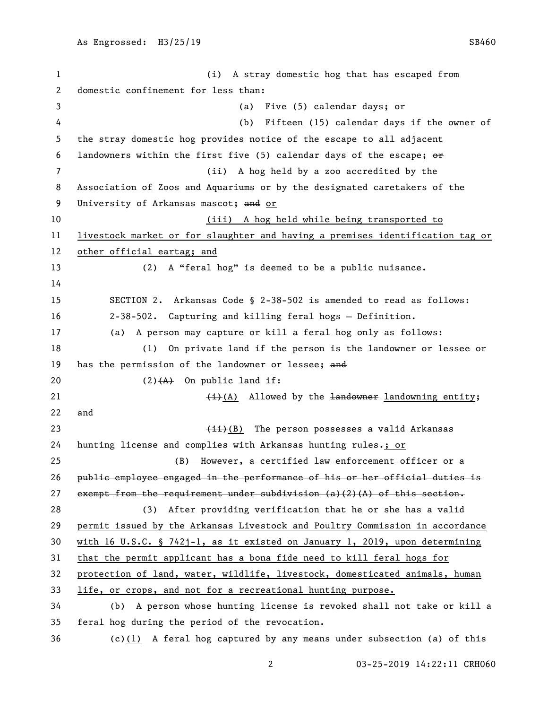(i) A stray domestic hog that has escaped from domestic confinement for less than: (a) Five (5) calendar days; or (b) Fifteen (15) calendar days if the owner of the stray domestic hog provides notice of the escape to all adjacent 6 landowners within the first five (5) calendar days of the escape;  $\Theta$  (ii) A hog held by a zoo accredited by the Association of Zoos and Aquariums or by the designated caretakers of the 9 University of Arkansas mascot; and or (iii) A hog held while being transported to livestock market or for slaughter and having a premises identification tag or other official eartag; and (2) A "feral hog" is deemed to be a public nuisance. SECTION 2. Arkansas Code § 2-38-502 is amended to read as follows: 2-38-502. Capturing and killing feral hogs — Definition. (a) A person may capture or kill a feral hog only as follows: (1) On private land if the person is the landowner or lessee or 19 has the permission of the landowner or lessee; and  $(2)$   $(A)$  On public land if:  $\leftarrow$  (i)(A) Allowed by the landowner landowning entity; and 23 (<del>ii)</del>(B) The person possesses a valid Arkansas 24 hunting license and complies with Arkansas hunting rules-; or 25 (B) However, a certified law enforcement officer or a public employee engaged in the performance of his or her official duties is 27 exempt from the requirement under subdivision  $(a)$  (2)(A) of this section. (3) After providing verification that he or she has a valid permit issued by the Arkansas Livestock and Poultry Commission in accordance with 16 U.S.C. § 742j-1, as it existed on January 1, 2019, upon determining that the permit applicant has a bona fide need to kill feral hogs for protection of land, water, wildlife, livestock, domesticated animals, human life, or crops, and not for a recreational hunting purpose. (b) A person whose hunting license is revoked shall not take or kill a feral hog during the period of the revocation.

(c)(1) A feral hog captured by any means under subsection (a) of this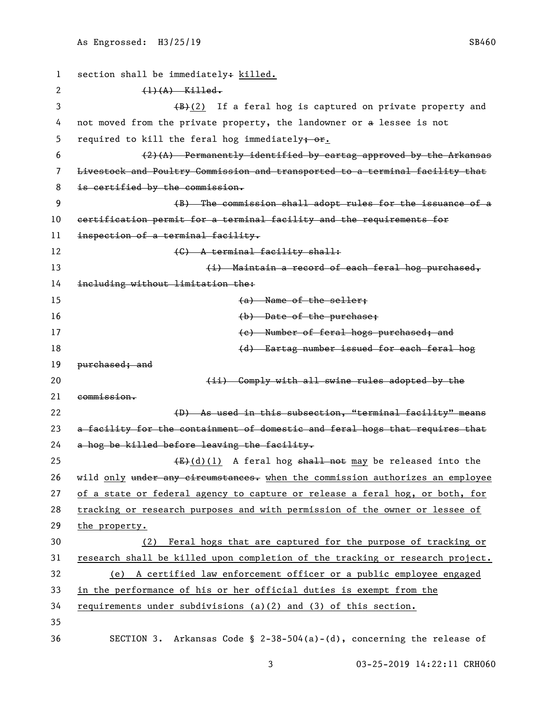1 section shall be immediately: killed. 2 (1)(A) Killed.  $\left(\frac{B}{B}(2)\right)$  If a feral hog is captured on private property and not moved from the private property, the landowner or a lessee is not 5 required to kill the feral hog immediately $\frac{1}{2}$ .  $(2)(A)$  Permanently identified by eartag approved by the Arkansas Livestock and Poultry Commission and transported to a terminal facility that 8 is certified by the commission. (B) The commission shall adopt rules for the issuance of a certification permit for a terminal facility and the requirements for inspection of a terminal facility. 12 (G) A terminal facility shall: 13 (i) Maintain a record of each feral hog purchased, including without limitation the: 15 (a) Name of the seller; 16 and the purchase of the purchase; the purchase of the purchase; the purchase of the purchase of the purchase of the purchase of the purchase of the purchase of the purchase of the purchase of the purchase of the purchas 17 and the Number of feral hogs purchased; and (d) Eartag number issued for each feral hog 19 <del>purchased; and</del> **(ii)** Comply with all swine rules adopted by the commission. 22 (D) As used in this subsection, "terminal facility" means 23 a facility for the containment of domestic and feral hogs that requires that a hog be killed before leaving the facility.  $(E)+(d)(1)$  A feral hog shall not may be released into the 26 wild only under any circumstances. when the commission authorizes an employee of a state or federal agency to capture or release a feral hog, or both, for tracking or research purposes and with permission of the owner or lessee of the property. (2) Feral hogs that are captured for the purpose of tracking or research shall be killed upon completion of the tracking or research project. (e) A certified law enforcement officer or a public employee engaged in the performance of his or her official duties is exempt from the requirements under subdivisions (a)(2) and (3) of this section. 35 SECTION 3. Arkansas Code § 2-38-504(a)-(d), concerning the release of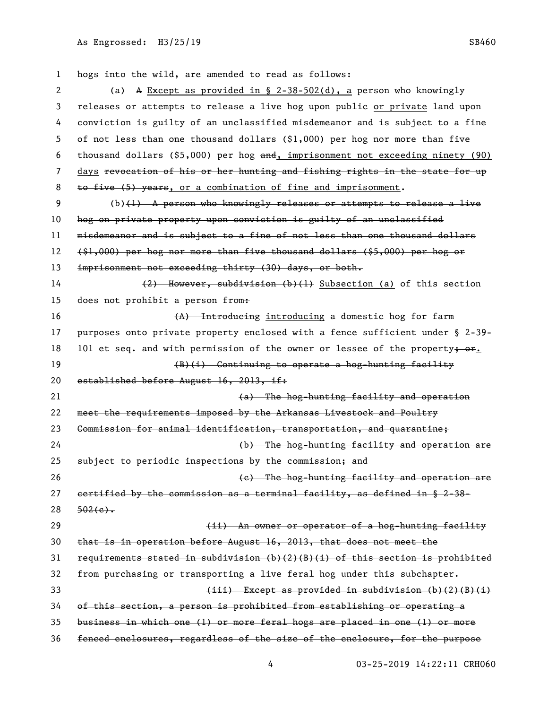hogs into the wild, are amended to read as follows: (a) A Except as provided in § 2-38-502(d), a person who knowingly releases or attempts to release a live hog upon public or private land upon conviction is guilty of an unclassified misdemeanor and is subject to a fine of not less than one thousand dollars (\$1,000) per hog nor more than five thousand dollars (\$5,000) per hog and, imprisonment not exceeding ninety (90) days revocation of his or her hunting and fishing rights in the state for up 8 to five (5) years, or a combination of fine and imprisonment. (b)(1) A person who knowingly releases or attempts to release a live hog on private property upon conviction is guilty of an unclassified misdemeanor and is subject to a fine of not less than one thousand dollars (\$1,000) per hog nor more than five thousand dollars (\$5,000) per hog or 13 imprisonment not exceeding thirty (30) days, or both. (2) However, subdivision (b)(1) Subsection (a) of this section 15 does not prohibit a person from. 16 (A) Introducing introducing a domestic hog for farm purposes onto private property enclosed with a fence sufficient under § 2-39- 18 101 et seq. and with permission of the owner or lessee of the property; or. 19 (B)(i) Continuing to operate a hog-hunting facility 20 established before August 16, 2013, if: (a) The hog-hunting facility and operation meet the requirements imposed by the Arkansas Livestock and Poultry Commission for animal identification, transportation, and quarantine; (b) The hog-hunting facility and operation are subject to periodic inspections by the commission; and (c) The hog-hunting facility and operation are certified by the commission as a terminal facility, as defined in § 2-38-  $28 \frac{502(e)}{e}$ **120 Commentage Commentage Commentage Communist Communist Communist Communist Communist Communist Communist Communist Communist Communist Communist Communist Communist Communist Communist Communist Communist Communist C**  that is in operation before August 16, 2013, that does not meet the requirements stated in subdivision (b)(2)(B)(i) of this section is prohibited from purchasing or transporting a live feral hog under this subchapter. 33 (iii) Except as provided in subdivision (b)(2)(B)(i) of this section, a person is prohibited from establishing or operating a business in which one (1) or more feral hogs are placed in one (1) or more fenced enclosures, regardless of the size of the enclosure, for the purpose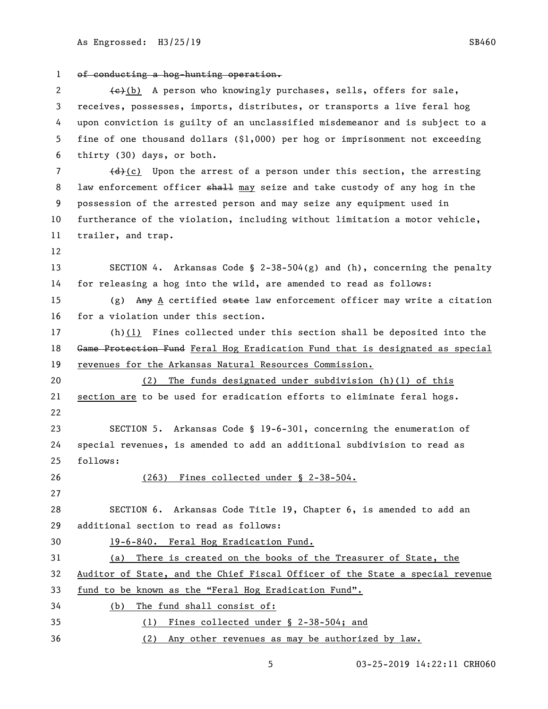of conducting a hog-hunting operation. 2 (e)(b) A person who knowingly purchases, sells, offers for sale, receives, possesses, imports, distributes, or transports a live feral hog upon conviction is guilty of an unclassified misdemeanor and is subject to a fine of one thousand dollars (\$1,000) per hog or imprisonment not exceeding thirty (30) days, or both.  $(d)$  (c) Upon the arrest of a person under this section, the arresting 8 law enforcement officer shall may seize and take custody of any hog in the possession of the arrested person and may seize any equipment used in furtherance of the violation, including without limitation a motor vehicle, trailer, and trap. SECTION 4. Arkansas Code § 2-38-504(g) and (h), concerning the penalty for releasing a hog into the wild, are amended to read as follows: 15 (g)  $Any$  A certified state law enforcement officer may write a citation for a violation under this section. (h)(1) Fines collected under this section shall be deposited into the 18 Game Protection Fund Feral Hog Eradication Fund that is designated as special revenues for the Arkansas Natural Resources Commission. (2) The funds designated under subdivision (h)(1) of this section are to be used for eradication efforts to eliminate feral hogs. SECTION 5. Arkansas Code § 19-6-301, concerning the enumeration of special revenues, is amended to add an additional subdivision to read as follows: (263) Fines collected under § 2-38-504. SECTION 6. Arkansas Code Title 19, Chapter 6, is amended to add an additional section to read as follows: 30 19-6-840. Feral Hog Eradication Fund. (a) There is created on the books of the Treasurer of State, the Auditor of State, and the Chief Fiscal Officer of the State a special revenue fund to be known as the "Feral Hog Eradication Fund". (b) The fund shall consist of: 35 (1) Fines collected under § 2-38-504; and 36 (2) Any other revenues as may be authorized by law.